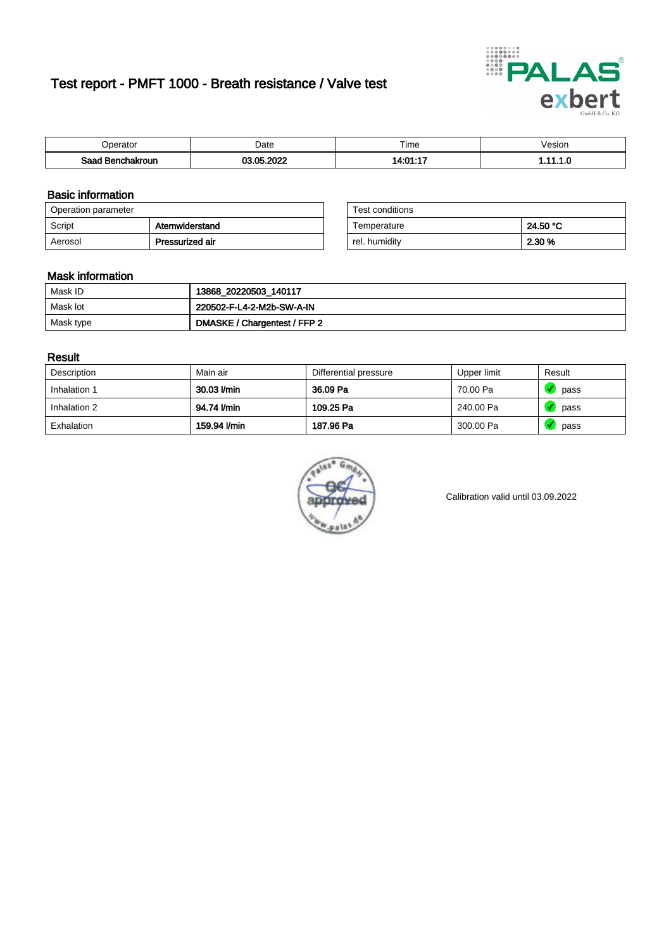# Test report - PMFT 1000 - Breath resistance / Valve test



| <b>Poerator</b>  | Date            | $- \cdot$<br>Time | √esion |
|------------------|-----------------|-------------------|--------|
| Saad Benchakroun | <b>COO DOOR</b> | $A - 01 - 17$     | .      |

### Basic information

| Operation parameter |                 | Test conditions |          |
|---------------------|-----------------|-----------------|----------|
| Script              | Atemwiderstand  | Temperature     | 24.50 °C |
| Aerosol             | Pressurized air | rel. humidity   | 2.30 %   |

| Test conditions |          |
|-----------------|----------|
| Temperature     | 24.50 °C |
| rel. humidity   | 2.30 %   |

#### Mask information

| Mask ID   | 13868_20220503_140117        |
|-----------|------------------------------|
| Mask lot  | 220502-F-L4-2-M2b-SW-A-IN    |
| Mask type | DMASKE / Chargentest / FFP 2 |

### Result

| Description  | Main air     | Differential pressure | Upper limit | Result |
|--------------|--------------|-----------------------|-------------|--------|
| Inhalation 1 | 30.03 l/min  | 36.09 Pa              | 70.00 Pa    | pass   |
| Inhalation 2 | 94.74 I/min  | 109.25 Pa             | 240.00 Pa   | pass   |
| Exhalation   | 159.94 l/min | 187.96 Pa             | 300.00 Pa   | pass   |



Calibration valid until 03.09.2022